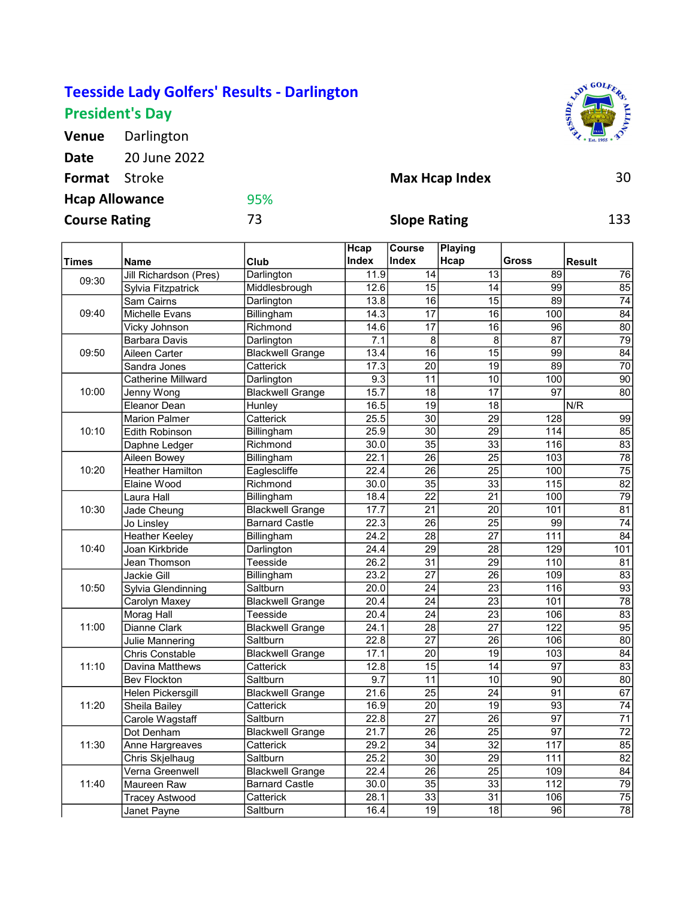## Teesside Lady Golfers' Results - Darlington President's Day

Venue Darlington Date 20 June 2022 Format Stroke 30 Hcap Allowance

95%



| <b>Course Rating</b> |                           | 73                      | <b>Slope Rating</b> |                        |                 |                   | 133             |  |
|----------------------|---------------------------|-------------------------|---------------------|------------------------|-----------------|-------------------|-----------------|--|
| <b>Times</b>         | <b>Name</b>               | Club                    | Hcap<br>Index       | <b>Course</b><br>Index | Playing<br>Hcap | Gross             | <b>Result</b>   |  |
|                      | Jill Richardson (Pres)    | Darlington              | 11.9                | 14                     | 13              | 89                | 76              |  |
| 09:30                | Sylvia Fitzpatrick        | Middlesbrough           | 12.6                | $\overline{15}$        | $\overline{14}$ | 99                | 85              |  |
| 09:40                | Sam Cairns                | Darlington              | 13.8                | 16                     | $\overline{15}$ | 89                | 74              |  |
|                      | Michelle Evans            | Billingham              | 14.3                | $\overline{17}$        | $\overline{16}$ | 100               | 84              |  |
|                      | Vicky Johnson             | Richmond                | 14.6                | $\overline{17}$        | 16              | 96                | 80              |  |
| 09:50                | <b>Barbara Davis</b>      | Darlington              | 7.1                 | 8                      | 8               | $\overline{87}$   | 79              |  |
|                      | Aileen Carter             | <b>Blackwell Grange</b> | 13.4                | $\overline{16}$        | $\overline{15}$ | 99                | 84              |  |
|                      | Sandra Jones              | Catterick               | 17.3                | 20                     | 19              | 89                | $\overline{70}$ |  |
|                      | <b>Catherine Millward</b> | Darlington              | 9.3                 | 11                     | 10              | 100               | 90              |  |
| 10:00                | Jenny Wong                | <b>Blackwell Grange</b> | 15.7                | 18                     | $\overline{17}$ | 97                | 80              |  |
|                      | Eleanor Dean              | Hunley                  | 16.5                | 19                     | 18              |                   | N/R             |  |
|                      | <b>Marion Palmer</b>      | Catterick               | 25.5                | 30                     | $\overline{29}$ | 128               | 99              |  |
| 10:10                | <b>Edith Robinson</b>     | Billingham              | 25.9                | $\overline{30}$        | $\overline{29}$ | 114               | 85              |  |
|                      | Daphne Ledger             | Richmond                | 30.0                | 35                     | 33              | 116               | 83              |  |
|                      | Aileen Bowey              | Billingham              | 22.1                | $\overline{26}$        | $\overline{25}$ | 103               | $\overline{78}$ |  |
| 10:20                | <b>Heather Hamilton</b>   | Eaglescliffe            | 22.4                | $\overline{26}$        | $\overline{25}$ | 100               | $\overline{75}$ |  |
|                      | Elaine Wood               | Richmond                | 30.0                | $\overline{35}$        | 33              | $\frac{115}{115}$ | 82              |  |
|                      | Laura Hall                | Billingham              | 18.4                | $\overline{22}$        | $\overline{21}$ | 100               | 79              |  |
| 10:30                | Jade Cheung               | <b>Blackwell Grange</b> | 17.7                | 21                     | 20              | 101               | 81              |  |
|                      | Jo Linsley                | <b>Barnard Castle</b>   | 22.3                | 26                     | 25              | 99                | 74              |  |
|                      | <b>Heather Keeley</b>     | Billingham              | 24.2                | 28                     | $\overline{27}$ | 111               | 84              |  |
| 10:40                | Joan Kirkbride            | Darlington              | 24.4                | 29                     | 28              | 129               | 101             |  |
|                      | Jean Thomson              | Teesside                | 26.2                | 31                     | 29              | 110               | 81              |  |
|                      | Jackie Gill               | Billingham              | 23.2                | $\overline{27}$        | 26              | 109               | 83              |  |
| 10:50                | Sylvia Glendinning        | Saltburn                | 20.0                | 24                     | 23              | 116               | 93              |  |
|                      | Carolyn Maxey             | <b>Blackwell Grange</b> | 20.4                | 24                     | 23              | 101               | $\overline{78}$ |  |
|                      | Morag Hall                | Teesside                | 20.4                | $\overline{24}$        | $\overline{23}$ | 106               | 83              |  |
| 11:00                | Dianne Clark              | <b>Blackwell Grange</b> | 24.1                | 28                     | $\overline{27}$ | 122               | 95              |  |
|                      | Julie Mannering           | Saltburn                | 22.8                | $\overline{27}$        | 26              | 106               | $\overline{80}$ |  |
|                      | <b>Chris Constable</b>    | <b>Blackwell Grange</b> | 17.1                | 20                     | 19              | 103               | 84              |  |
| 11:10                | <b>Davina Matthews</b>    | Catterick               | 12.8                | 15                     | 14              | $\overline{97}$   | 83              |  |
|                      | <b>Bev Flockton</b>       | Saltburn                | 9.7                 | 11                     | 10              | 90                | 80              |  |
| 11:20                | Helen Pickersgill         | <b>Blackwell Grange</b> | 21.6                | 25                     | 24              | 91                | 67              |  |
|                      | Sheila Bailey             | Catterick               | 16.9                | $\overline{20}$        | 19              | 93                | 74              |  |
|                      | Carole Wagstaff           | Saltburn                | 22.8                | $\overline{27}$        | $\overline{26}$ | $\overline{97}$   | $\overline{71}$ |  |
| 11:30                | Dot Denham                | <b>Blackwell Grange</b> | 21.7                | 26                     | 25              | 97                | 72              |  |
|                      | Anne Hargreaves           | Catterick               | 29.2                | 34                     | 32              | 117               | 85              |  |
|                      | Chris Skjelhaug           | Saltburn                | 25.2                | 30                     | 29              | 111               | 82              |  |
| 11:40                | Verna Greenwell           | <b>Blackwell Grange</b> | 22.4                | 26                     | 25              | 109               | 84              |  |
|                      | Maureen Raw               | <b>Barnard Castle</b>   | 30.0                | 35                     | $\overline{33}$ | 112               | 79              |  |
|                      | <b>Tracey Astwood</b>     | Catterick               | 28.1                | 33                     | 31              | 106               | 75              |  |
|                      | Janet Payne               | Saltburn                | 16.4                | 19                     | 18              | 96                | 78              |  |